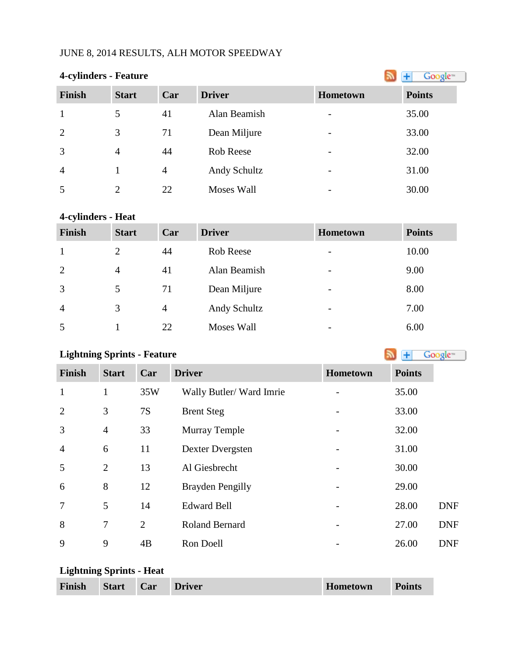## JUNE 8, 2014 RESULTS, ALH MOTOR SPEEDWAY

| <b>4-cylinders - Feature</b> | Google <sup>16</sup> |     |               |                          |               |
|------------------------------|----------------------|-----|---------------|--------------------------|---------------|
| <b>Finish</b>                | <b>Start</b>         | Car | <b>Driver</b> | Hometown                 | <b>Points</b> |
|                              | 5                    | 41  | Alan Beamish  | $\overline{\phantom{a}}$ | 35.00         |
| 2                            | 3                    | 71  | Dean Miljure  | $\overline{\phantom{a}}$ | 33.00         |
| $\overline{3}$               | $\overline{4}$       | 44  | Rob Reese     | $\overline{\phantom{a}}$ | 32.00         |
| $\overline{4}$               |                      | 4   | Andy Schultz  | $\overline{\phantom{a}}$ | 31.00         |
| 5                            | $\overline{2}$       | 22  | Moses Wall    |                          | 30.00         |

# **4-cylinders - Heat**

| <b>Finish</b>  | <b>Start</b>   | Car            | <b>Driver</b> | Hometown                 | <b>Points</b> |
|----------------|----------------|----------------|---------------|--------------------------|---------------|
|                | $\overline{2}$ | 44             | Rob Reese     | $\overline{\phantom{a}}$ | 10.00         |
| 2              | $\overline{4}$ | 41             | Alan Beamish  | $\overline{\phantom{a}}$ | 9.00          |
| 3              | 5              | 71             | Dean Miljure  | $\overline{\phantom{a}}$ | 8.00          |
| $\overline{4}$ | 3              | $\overline{4}$ | Andy Schultz  | $\overline{\phantom{a}}$ | 7.00          |
| 5              |                | 22             | Moses Wall    | $\overline{\phantom{a}}$ | 6.00          |

# **LightningSprints - Feature Constanting Sprints - Feature**

| <b>Finish</b>  | <b>Start</b>   | Car            | <b>Driver</b>           | Hometown | <b>Points</b> |
|----------------|----------------|----------------|-------------------------|----------|---------------|
| $\mathbf{1}$   | $\mathbf{1}$   | 35W            | Wally Butler/Ward Imrie |          | 35.00         |
| $\overline{2}$ | 3              | 7S             | <b>Brent Steg</b>       |          | 33.00         |
| 3              | $\overline{4}$ | 33             | <b>Murray Temple</b>    |          | 32.00         |
| $\overline{4}$ | 6              | 11             | Dexter Dvergsten        |          | 31.00         |
| 5              | $\overline{2}$ | 13             | Al Giesbrecht           |          | 30.00         |
| 6              | 8              | 12             | <b>Brayden Pengilly</b> |          | 29.00         |
| $\overline{7}$ | 5              | 14             | <b>Edward Bell</b>      |          | 28.00         |
| 8              | 7              | $\overline{2}$ | <b>Roland Bernard</b>   |          | 27.00         |
| 9              | 9              | 4B             | Ron Doell               |          | 26.00         |

### **Lightning Sprints - Heat**

| Car<br><b>Start</b><br>Hometown<br><b>Finish</b><br><b>Driver</b><br><b>Points</b> |  |
|------------------------------------------------------------------------------------|--|
|------------------------------------------------------------------------------------|--|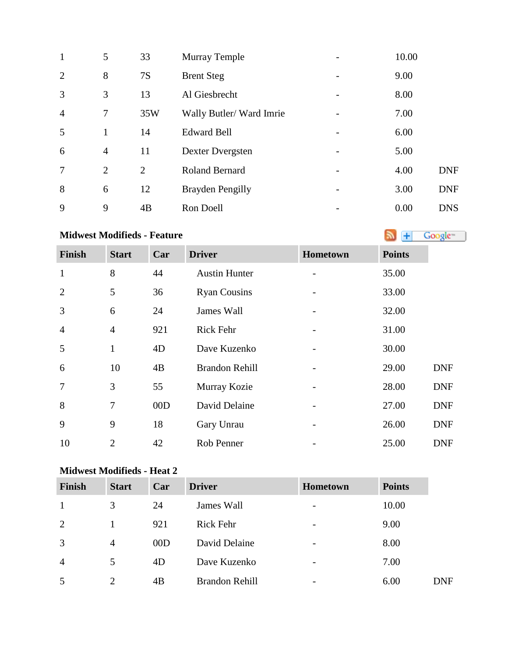| $\mathbf{1}$   | 5              | 33             | <b>Murray Temple</b>    | 10.00 |            |
|----------------|----------------|----------------|-------------------------|-------|------------|
| $\overline{2}$ | 8              | 7S             | <b>Brent Steg</b>       | 9.00  |            |
| 3              | 3              | 13             | Al Giesbrecht           | 8.00  |            |
| $\overline{4}$ | 7              | 35W            | Wally Butler/Ward Imrie | 7.00  |            |
| 5              | $\mathbf{1}$   | 14             | <b>Edward Bell</b>      | 6.00  |            |
| 6              | $\overline{4}$ | 11             | Dexter Dvergsten        | 5.00  |            |
| $\overline{7}$ | 2              | $\overline{2}$ | <b>Roland Bernard</b>   | 4.00  | <b>DNF</b> |
| 8              | 6              | 12             | <b>Brayden Pengilly</b> | 3.00  | <b>DNF</b> |
| 9              | 9              | 4B             | Ron Doell               | 0.00  | <b>DNS</b> |

# **MidwestModifieds - Feature Algebra 2019 Coolergies 1999 Algebra 2019 Algebra 2019 Algebra 2019 Algebra 2019 Algebra 2019 Algebra 2019 Algebra 2019 Algebra 2019 Algebra 2019 Algebra 2019 Algebra**

| <b>Finish</b>  | <b>Start</b>   | Car | <b>Driver</b>         | Hometown | <b>Points</b> |            |
|----------------|----------------|-----|-----------------------|----------|---------------|------------|
| $\mathbf{1}$   | 8              | 44  | <b>Austin Hunter</b>  |          | 35.00         |            |
| $\overline{2}$ | 5              | 36  | <b>Ryan Cousins</b>   |          | 33.00         |            |
| 3              | 6              | 24  | James Wall            |          | 32.00         |            |
| $\overline{4}$ | $\overline{4}$ | 921 | <b>Rick Fehr</b>      |          | 31.00         |            |
| 5              | $\mathbf{1}$   | 4D  | Dave Kuzenko          |          | 30.00         |            |
| 6              | 10             | 4B  | <b>Brandon Rehill</b> |          | 29.00         | <b>DNF</b> |
| 7              | 3              | 55  | Murray Kozie          |          | 28.00         | <b>DNF</b> |
| 8              | 7              | 00D | David Delaine         |          | 27.00         | <b>DNF</b> |
| 9              | 9              | 18  | Gary Unrau            |          | 26.00         | <b>DNF</b> |
| 10             | $\overline{2}$ | 42  | Rob Penner            |          | 25.00         | <b>DNF</b> |

#### **Midwest Modifieds - Heat 2**

| <b>Finish</b>  | <b>Start</b>   | Car | <b>Driver</b>         | Hometown                 | <b>Points</b> |            |
|----------------|----------------|-----|-----------------------|--------------------------|---------------|------------|
|                | 3              | 24  | James Wall            | $\qquad \qquad$          | 10.00         |            |
| 2              |                | 921 | <b>Rick Fehr</b>      | $\overline{\phantom{a}}$ | 9.00          |            |
| 3              | $\overline{4}$ | 00D | David Delaine         | $\overline{a}$           | 8.00          |            |
| $\overline{4}$ | 5              | 4D  | Dave Kuzenko          | $\overline{\phantom{a}}$ | 7.00          |            |
| 5              | $\overline{2}$ | 4B  | <b>Brandon Rehill</b> | $\overline{a}$           | 6.00          | <b>DNF</b> |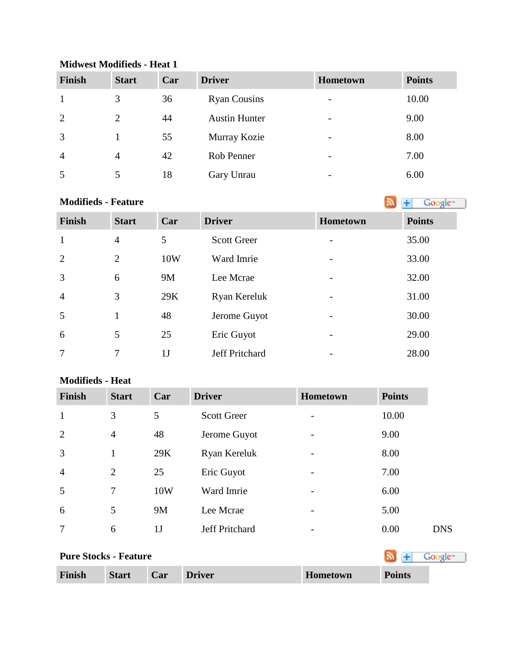| <b>Finish</b>  | <b>Start</b>   | Car | <b>Driver</b>        | <b>Hometown</b>          | <b>Points</b> |
|----------------|----------------|-----|----------------------|--------------------------|---------------|
|                | 3              | 36  | <b>Ryan Cousins</b>  | $\overline{\phantom{a}}$ | 10.00         |
| 2              | 2              | 44  | <b>Austin Hunter</b> | $\overline{\phantom{a}}$ | 9.00          |
| 3              |                | 55  | Murray Kozie         | $\overline{\phantom{0}}$ | 8.00          |
| $\overline{4}$ | $\overline{4}$ | 42  | Rob Penner           | $\overline{\phantom{a}}$ | 7.00          |
| 5              |                | 18  | Gary Unrau           | $\overline{\phantom{a}}$ | 6.00          |

#### **Midwest Modifieds - Heat 1**

#### **Modifieds- Feature**

| Finish         | <b>Start</b>   | Car            | <b>Driver</b>      | <b>Hometown</b> | <b>Points</b> |
|----------------|----------------|----------------|--------------------|-----------------|---------------|
| $\mathbf{1}$   | $\overline{4}$ | 5              | <b>Scott Greer</b> |                 | 35.00         |
| $\overline{2}$ | 2              | 10W            | Ward Imrie         |                 | 33.00         |
| $\overline{3}$ | 6              | 9M             | Lee Mcrae          |                 | 32.00         |
| $\overline{4}$ | 3              | 29K            | Ryan Kereluk       |                 | 31.00         |
| 5              | 1              | 48             | Jerome Guyot       |                 | 30.00         |
| 6              | 5              | 25             | Eric Guyot         |                 | 29.00         |
| 7              | 7              | 1 <sub>J</sub> | Jeff Pritchard     |                 | 28.00         |

#### **Modifieds - Heat**

| Finish                       | <b>Start</b>   | Car            | <b>Driver</b>      | Hometown | <b>Points</b>       |            |
|------------------------------|----------------|----------------|--------------------|----------|---------------------|------------|
| $\mathbf{1}$                 | 3              | 5              | <b>Scott Greer</b> | -        | 10.00               |            |
| 2                            | $\overline{4}$ | 48             | Jerome Guyot       |          | 9.00                |            |
| 3                            | 1              | 29K            | Ryan Kereluk       |          | 8.00                |            |
| $\overline{4}$               | $\overline{2}$ | 25             | Eric Guyot         | -        | 7.00                |            |
| 5                            | 7              | 10W            | Ward Imrie         |          | 6.00                |            |
| 6                            | 5              | 9M             | Lee Mcrae          | -        | 5.00                |            |
| $\overline{7}$               | 6              | 1 <sub>J</sub> | Jeff Pritchard     |          | 0.00                | <b>DNS</b> |
| <b>Pure Stocks - Feature</b> |                |                |                    |          | Google <sup>®</sup> |            |
| <b>Finish</b>                | <b>Start</b>   | Car            | <b>Driver</b>      | Hometown | <b>Points</b>       |            |